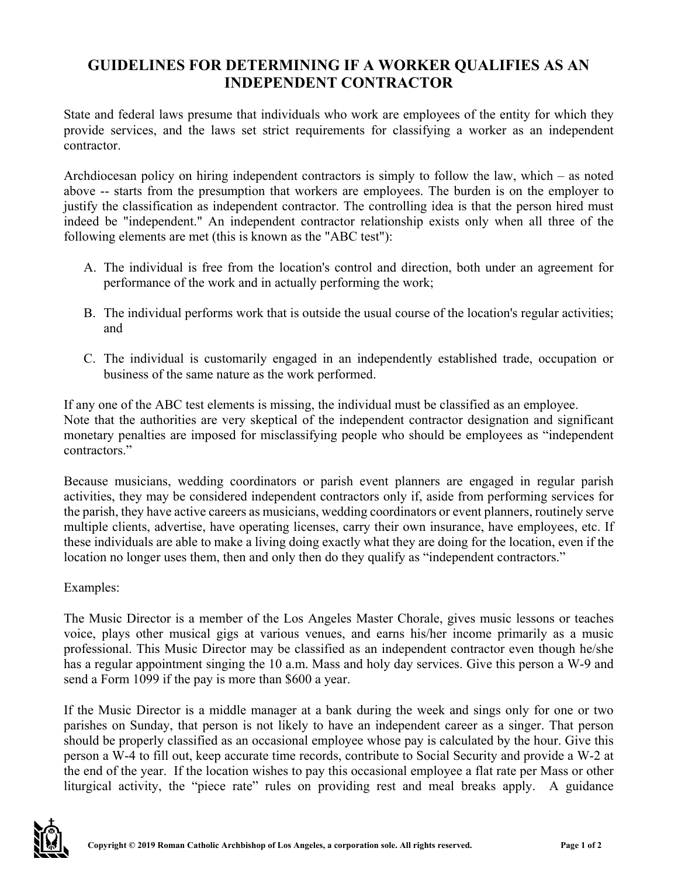## **GUIDELINES FOR DETERMINING IF A WORKER QUALIFIES AS AN INDEPENDENT CONTRACTOR**

State and federal laws presume that individuals who work are employees of the entity for which they provide services, and the laws set strict requirements for classifying a worker as an independent contractor.

Archdiocesan policy on hiring independent contractors is simply to follow the law, which – as noted above -- starts from the presumption that workers are employees. The burden is on the employer to justify the classification as independent contractor. The controlling idea is that the person hired must indeed be "independent." An independent contractor relationship exists only when all three of the following elements are met (this is known as the "ABC test"):

- A. The individual is free from the location's control and direction, both under an agreement for performance of the work and in actually performing the work;
- B. The individual performs work that is outside the usual course of the location's regular activities; and
- C. The individual is customarily engaged in an independently established trade, occupation or business of the same nature as the work performed.

If any one of the ABC test elements is missing, the individual must be classified as an employee. Note that the authorities are very skeptical of the independent contractor designation and significant monetary penalties are imposed for misclassifying people who should be employees as "independent contractors."

Because musicians, wedding coordinators or parish event planners are engaged in regular parish activities, they may be considered independent contractors only if, aside from performing services for the parish, they have active careers as musicians, wedding coordinators or event planners, routinely serve multiple clients, advertise, have operating licenses, carry their own insurance, have employees, etc. If these individuals are able to make a living doing exactly what they are doing for the location, even if the location no longer uses them, then and only then do they qualify as "independent contractors."

Examples:

The Music Director is a member of the Los Angeles Master Chorale, gives music lessons or teaches voice, plays other musical gigs at various venues, and earns his/her income primarily as a music professional. This Music Director may be classified as an independent contractor even though he/she has a regular appointment singing the 10 a.m. Mass and holy day services. Give this person a W-9 and send a Form 1099 if the pay is more than \$600 a year.

If the Music Director is a middle manager at a bank during the week and sings only for one or two parishes on Sunday, that person is not likely to have an independent career as a singer. That person should be properly classified as an occasional employee whose pay is calculated by the hour. Give this person a W-4 to fill out, keep accurate time records, contribute to Social Security and provide a W-2 at the end of the year. If the location wishes to pay this occasional employee a flat rate per Mass or other liturgical activity, the "piece rate" rules on providing rest and meal breaks apply. A guidance